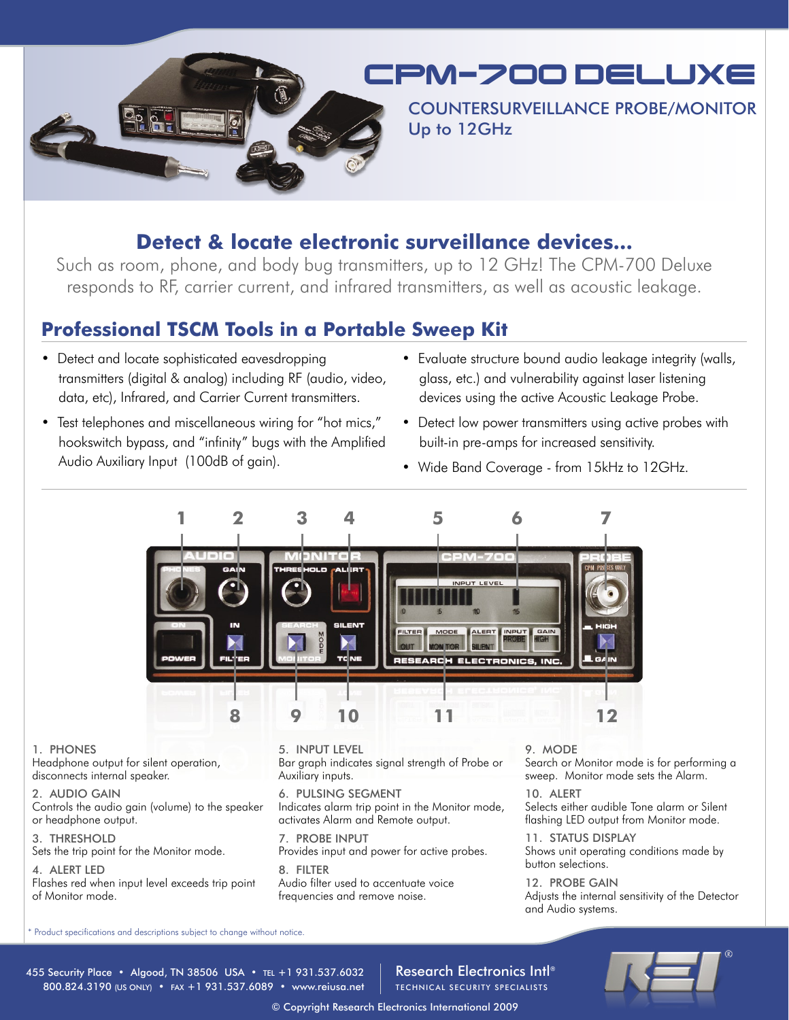

## CPM-700 DELUXE

COUNTERSURVEILLANCE PROBE/MONITOR Up to 12GHz

## **Detect & locate electronic surveillance devices...**

Such as room, phone, and body bug transmitters, up to 12 GHz! The CPM-700 Deluxe responds to RF, carrier current, and infrared transmitters, as well as acoustic leakage.

## **Professional TSCM Tools in a Portable Sweep Kit**

- Detect and locate sophisticated eavesdropping transmitters (digital & analog) including RF (audio, video, data, etc), Infrared, and Carrier Current transmitters.
- Test telephones and miscellaneous wiring for "hot mics," hookswitch bypass, and "infinity" bugs with the Amplified Audio Auxiliary Input (100dB of gain).
- Evaluate structure bound audio leakage integrity (walls, glass, etc.) and vulnerability against laser listening devices using the active Acoustic Leakage Probe.
- Detect low power transmitters using active probes with built-in pre-amps for increased sensitivity.
- Wide Band Coverage from 15kHz to 12GHz.



### 1. PHONES

Headphone output for silent operation, disconnects internal speaker.

#### 2. AUDIO GAIN

Controls the audio gain (volume) to the speaker or headphone output.

#### 3. THRESHOLD

Sets the trip point for the Monitor mode.

#### 4. ALERT LED

Flashes red when input level exceeds trip point of Monitor mode.

5. INPUT LEVEL

Bar graph indicates signal strength of Probe or Auxiliary inputs.

6. PULSING SEGMENT Indicates alarm trip point in the Monitor mode, activates Alarm and Remote output.

7. PROBE INPUT Provides input and power for active probes.

8. FILTER Audio filter used to accentuate voice frequencies and remove noise.

9. MODE Search or Monitor mode is for performing a sweep. Monitor mode sets the Alarm.

10. ALERT Selects either audible Tone alarm or Silent flashing LED output from Monitor mode.

11. STATUS DISPLAY Shows unit operating conditions made by button selections.

12. PROBE GAIN Adjusts the internal sensitivity of the Detector and Audio systems.

\* Product specifications and descriptions subject to change without notice.

455 Security Place • Algood, TN 38506 USA • TEL +1 931.537.6032 800.824.3190 (US ONLY) • FAX +1 931.537.6089 • www.reiusa.net

Research Electronics Intl® TECHNICAL SECURITY SPECIALISTS